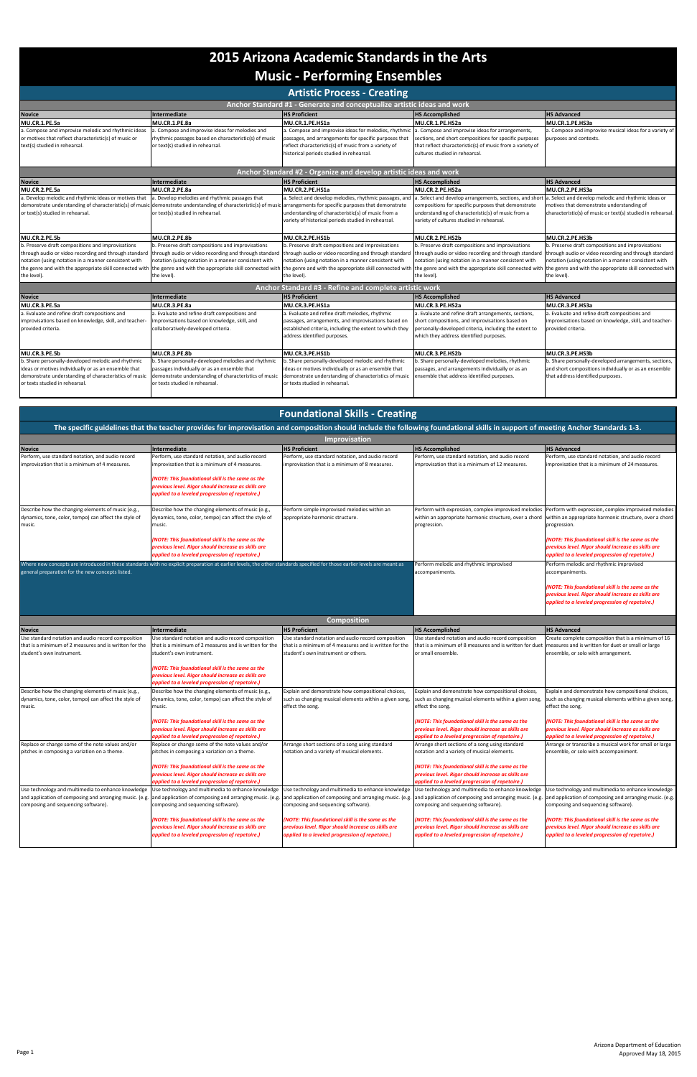| <b>Artistic Process - Creating</b>                                                                                                            |                                                                                                                                                                                                                                               |                                                                                                                                                                                                                    |                                                                                                                                                                                                           |                                                                                                          |  |  |
|-----------------------------------------------------------------------------------------------------------------------------------------------|-----------------------------------------------------------------------------------------------------------------------------------------------------------------------------------------------------------------------------------------------|--------------------------------------------------------------------------------------------------------------------------------------------------------------------------------------------------------------------|-----------------------------------------------------------------------------------------------------------------------------------------------------------------------------------------------------------|----------------------------------------------------------------------------------------------------------|--|--|
| Anchor Standard #1 - Generate and conceptualize artistic ideas and work                                                                       |                                                                                                                                                                                                                                               |                                                                                                                                                                                                                    |                                                                                                                                                                                                           |                                                                                                          |  |  |
| <b>Novice</b>                                                                                                                                 | Intermediate                                                                                                                                                                                                                                  | <b>HS Proficient</b>                                                                                                                                                                                               | <b>HS Accomplished</b>                                                                                                                                                                                    | <b>HS Advanced</b>                                                                                       |  |  |
| MU.CR.1.PE.5a                                                                                                                                 | MU.CR.1.PE.8a                                                                                                                                                                                                                                 | MU.CR.1.PE.HS1a                                                                                                                                                                                                    | MU.CR.1.PE.HS2a                                                                                                                                                                                           | MU.CR.1.PE.HS3a                                                                                          |  |  |
| a. Compose and improvise melodic and rhythmic ideas<br>or motives that reflect characteristic(s) of music or<br>text(s) studied in rehearsal. | a. Compose and improvise ideas for melodies and<br>rhythmic passages based on characteristic(s) of music<br>or text(s) studied in rehearsal.                                                                                                  | a. Compose and improvise ideas for melodies, rhythmic<br>passages, and arrangements for specific purposes that<br>reflect characteristic(s) of music from a variety of<br>historical periods studied in rehearsal. | a. Compose and improvise ideas for arrangements,<br>sections, and short compositions for specific purposes<br>that reflect characteristic(s) of music from a variety of<br>cultures studied in rehearsal. | a. Compose and improvise musical ideas for a variety of<br>purposes and contexts.                        |  |  |
|                                                                                                                                               |                                                                                                                                                                                                                                               | Anchor Standard #2 - Organize and develop artistic ideas and work                                                                                                                                                  |                                                                                                                                                                                                           |                                                                                                          |  |  |
| <b>Novice</b>                                                                                                                                 | <b>Intermediate</b>                                                                                                                                                                                                                           | <b>HS Proficient</b>                                                                                                                                                                                               | <b>HS Accomplished</b>                                                                                                                                                                                    | <b>HS Advanced</b>                                                                                       |  |  |
| MU.CR.2.PE.5a                                                                                                                                 | MU.CR.2.PE.8a                                                                                                                                                                                                                                 | MU.CR.2.PE.HS1a                                                                                                                                                                                                    | MU.CR.2.PE.HS2a                                                                                                                                                                                           | MU.CR.2.PE.HS3a                                                                                          |  |  |
| a. Develop melodic and rhythmic ideas or motives that                                                                                         | a. Develop melodies and rhythmic passages that                                                                                                                                                                                                | a. Select and develop melodies, rhythmic passages, and                                                                                                                                                             | a. Select and develop arrangements, sections, and short                                                                                                                                                   | a. Select and develop melodic and rhythmic ideas or                                                      |  |  |
| or text(s) studied in rehearsal.                                                                                                              | demonstrate understanding of characteristic(s) of music demonstrate understanding of characteristic(s) of music arrangements for specific purposes that demonstrate<br>or text(s) studied in rehearsal.                                       | understanding of characteristic(s) of music from a<br>variety of historical periods studied in rehearsal.                                                                                                          | compositions for specific purposes that demonstrate<br>understanding of characteristic(s) of music from a<br>variety of cultures studied in rehearsal.                                                    | motives that demonstrate understanding of<br>characteristic(s) of music or text(s) studied in rehearsal. |  |  |
| MU.CR.2.PE.5b                                                                                                                                 | MU.CR.2.PE.8b                                                                                                                                                                                                                                 | MU.CR.2.PE.HS1b                                                                                                                                                                                                    | MU.CR.2.PE.HS2b                                                                                                                                                                                           | MU.CR.2.PE.HS3b                                                                                          |  |  |
| b. Preserve draft compositions and improvisations                                                                                             | b. Preserve draft compositions and improvisations                                                                                                                                                                                             | b. Preserve draft compositions and improvisations                                                                                                                                                                  | b. Preserve draft compositions and improvisations                                                                                                                                                         | b. Preserve draft compositions and improvisations                                                        |  |  |
|                                                                                                                                               | through audio or video recording and through standard through audio or video recording and through standard                                                                                                                                   |                                                                                                                                                                                                                    | through audio or video recording and through standard through audio or video recording and through standard                                                                                               | through audio or video recording and through standard                                                    |  |  |
| notation (using notation in a manner consistent with                                                                                          | notation (using notation in a manner consistent with                                                                                                                                                                                          | notation (using notation in a manner consistent with                                                                                                                                                               | notation (using notation in a manner consistent with                                                                                                                                                      | notation (using notation in a manner consistent with                                                     |  |  |
| the level).                                                                                                                                   | the genre and with the appropriate skill connected with the genre and with the appropriate skill connected with the genre and with the appropriate skill connected with the appropriate skill connected with the appropriate s<br>the level). | the level).                                                                                                                                                                                                        | the level).                                                                                                                                                                                               | the genre and with the appropriate skill connected with<br>the level).                                   |  |  |
|                                                                                                                                               |                                                                                                                                                                                                                                               |                                                                                                                                                                                                                    |                                                                                                                                                                                                           |                                                                                                          |  |  |
|                                                                                                                                               |                                                                                                                                                                                                                                               | Anchor Standard #3 - Refine and complete artistic work                                                                                                                                                             |                                                                                                                                                                                                           |                                                                                                          |  |  |
| <b>Novice</b>                                                                                                                                 | Intermediate                                                                                                                                                                                                                                  | <b>HS Proficient</b>                                                                                                                                                                                               | <b>HS Accomplished</b>                                                                                                                                                                                    | <b>HS Advanced</b>                                                                                       |  |  |
| MU.CR.3.PE.5a                                                                                                                                 | MU.CR.3.PE.8a                                                                                                                                                                                                                                 | MU.CR.3.PE.HS1a                                                                                                                                                                                                    | MU.CR.3.PE.HS2a                                                                                                                                                                                           | MU.CR.3.PE.HS3a                                                                                          |  |  |
| a. Evaluate and refine draft compositions and                                                                                                 | a. Evaluate and refine draft compositions and                                                                                                                                                                                                 | a. Evaluate and refine draft melodies, rhythmic                                                                                                                                                                    | a. Evaluate and refine draft arrangements, sections,                                                                                                                                                      | a. Evaluate and refine draft compositions and                                                            |  |  |
| improvisations based on knowledge, skill, and teacher-                                                                                        | improvisations based on knowledge, skill, and                                                                                                                                                                                                 | passages, arrangements, and improvisations based on                                                                                                                                                                | short compositions, and improvisations based on                                                                                                                                                           | improvisations based on knowledge, skill, and teacher-                                                   |  |  |
| provided criteria.                                                                                                                            | collaboratively-developed criteria.                                                                                                                                                                                                           | established criteria, including the extent to which they<br>address identified purposes.                                                                                                                           | personally-developed criteria, including the extent to<br>which they address identified purposes.                                                                                                         | provided criteria.                                                                                       |  |  |
| MU.CR.3.PE.5b                                                                                                                                 | MU.CR.3.PE.8b                                                                                                                                                                                                                                 | MU.CR.3.PE.HS1b                                                                                                                                                                                                    | MU.CR.3.PE.HS2b                                                                                                                                                                                           | MU.CR.3.PE.HS3b                                                                                          |  |  |
| b. Share personally-developed melodic and rhythmic                                                                                            | b. Share personally-developed melodies and rhythmic                                                                                                                                                                                           | b. Share personally-developed melodic and rhythmic                                                                                                                                                                 | b. Share personally-developed melodies, rhythmic                                                                                                                                                          | b. Share personally-developed arrangements, sections,                                                    |  |  |
| ideas or motives individually or as an ensemble that                                                                                          | passages individually or as an ensemble that                                                                                                                                                                                                  | ideas or motives individually or as an ensemble that                                                                                                                                                               | passages, and arrangements individually or as an                                                                                                                                                          | and short compositions individually or as an ensemble                                                    |  |  |
| demonstrate understanding of characteristics of music                                                                                         | demonstrate understanding of characteristics of music                                                                                                                                                                                         | demonstrate understanding of characteristics of music                                                                                                                                                              | ensemble that address identified purposes.                                                                                                                                                                | that address identified purposes.                                                                        |  |  |
| or texts studied in rehearsal.                                                                                                                | or texts studied in rehearsal                                                                                                                                                                                                                 | or texts studied in rehearsal.                                                                                                                                                                                     |                                                                                                                                                                                                           |                                                                                                          |  |  |

|                                                                                                                                                      |                                                                                                                                                                                                                                                                                                                     | <b>Foundational Skills - Creating</b>                                                                                                                                                                                                                                                                              |                                                                                                                                                                                                                                                                                                                     |                                                                                                                                                                                                                                                                                                                    |  |  |
|------------------------------------------------------------------------------------------------------------------------------------------------------|---------------------------------------------------------------------------------------------------------------------------------------------------------------------------------------------------------------------------------------------------------------------------------------------------------------------|--------------------------------------------------------------------------------------------------------------------------------------------------------------------------------------------------------------------------------------------------------------------------------------------------------------------|---------------------------------------------------------------------------------------------------------------------------------------------------------------------------------------------------------------------------------------------------------------------------------------------------------------------|--------------------------------------------------------------------------------------------------------------------------------------------------------------------------------------------------------------------------------------------------------------------------------------------------------------------|--|--|
|                                                                                                                                                      | The specific guidelines that the teacher provides for improvisation and composition should include the following foundational skills in support of meeting Anchor Standards 1-3.                                                                                                                                    |                                                                                                                                                                                                                                                                                                                    |                                                                                                                                                                                                                                                                                                                     |                                                                                                                                                                                                                                                                                                                    |  |  |
| <b>Improvisation</b>                                                                                                                                 |                                                                                                                                                                                                                                                                                                                     |                                                                                                                                                                                                                                                                                                                    |                                                                                                                                                                                                                                                                                                                     |                                                                                                                                                                                                                                                                                                                    |  |  |
| <b>Novice</b>                                                                                                                                        | Intermediate                                                                                                                                                                                                                                                                                                        | <b>HS Proficient</b>                                                                                                                                                                                                                                                                                               | <b>HS Accomplished</b>                                                                                                                                                                                                                                                                                              | <b>HS Advanced</b>                                                                                                                                                                                                                                                                                                 |  |  |
| Perform, use standard notation, and audio record<br>improvisation that is a minimum of 4 measures.                                                   | Perform, use standard notation, and audio record<br>improvisation that is a minimum of 4 measures.<br>NOTE: This foundational skill is the same as the<br>previous level. Rigor should increase as skills are<br>applied to a leveled progression of repetoire.)                                                    | Perform, use standard notation, and audio record<br>improvisation that is a minimum of 8 measures.                                                                                                                                                                                                                 | Perform, use standard notation, and audio record<br>improvisation that is a minimum of 12 measures.                                                                                                                                                                                                                 | Perform, use standard notation, and audio record<br>improvisation that is a minimum of 24 measures.                                                                                                                                                                                                                |  |  |
| Describe how the changing elements of music (e.g.,<br>dynamics, tone, color, tempo) can affect the style of<br>music.                                | Describe how the changing elements of music (e.g.,<br>dynamics, tone, color, tempo) can affect the style of<br>music.<br>NOTE: This foundational skill is the same as the<br>previous level. Rigor should increase as skills are<br>applied to a leveled progression of repetoire.)                                 | Perform simple improvised melodies within an<br>appropriate harmonic structure.                                                                                                                                                                                                                                    | Perform with expression, complex improvised melodies<br>within an appropriate harmonic structure, over a chord<br>progression.                                                                                                                                                                                      | Perform with expression, complex improvised melodies<br>within an appropriate harmonic structure, over a chord<br>progression.<br>NOTE: This foundational skill is the same as the<br>previous level. Rigor should increase as skills are<br>applied to a leveled progression of repetoire.)                       |  |  |
| general preparation for the new concepts listed.                                                                                                     | Where new concepts are introduced in these standards with no explicit preparation at earlier levels, the other standards specified for those earlier levels are meant as                                                                                                                                            |                                                                                                                                                                                                                                                                                                                    | Perform melodic and rhythmic improvised<br>accompaniments.                                                                                                                                                                                                                                                          | Perform melodic and rhythmic improvised<br>accompaniments.<br>(NOTE: This foundational skill is the same as the<br>previous level. Rigor should increase as skills are<br>applied to a leveled progression of repetoire.)                                                                                          |  |  |
|                                                                                                                                                      |                                                                                                                                                                                                                                                                                                                     | <b>Composition</b>                                                                                                                                                                                                                                                                                                 |                                                                                                                                                                                                                                                                                                                     |                                                                                                                                                                                                                                                                                                                    |  |  |
| <b>Novice</b>                                                                                                                                        | Intermediate                                                                                                                                                                                                                                                                                                        | <b>HS Proficient</b>                                                                                                                                                                                                                                                                                               | <b>HS Accomplished</b>                                                                                                                                                                                                                                                                                              | <b>HS Advanced</b>                                                                                                                                                                                                                                                                                                 |  |  |
| Use standard notation and audio record composition<br>that is a minimum of 2 measures and is written for the<br>student's own instrument.            | Use standard notation and audio record composition<br>that is a minimum of 2 measures and is written for the<br>student's own instrument.<br>NOTE: This foundational skill is the same as the<br>previous level. Rigor should increase as skills are<br>applied to a leveled progression of repetoire.)             | Use standard notation and audio record composition<br>that is a minimum of 4 measures and is written for the<br>student's own instrument or others.                                                                                                                                                                | Use standard notation and audio record composition<br>that is a minimum of 8 measures and is written for duet   measures and is written for duet or small or large<br>or small ensemble.                                                                                                                            | Create complete composition that is a minimum of 16<br>ensemble, or solo with arrangement.                                                                                                                                                                                                                         |  |  |
| Describe how the changing elements of music (e.g.,<br>dynamics, tone, color, tempo) can affect the style of<br>music.                                | Describe how the changing elements of music (e.g.,<br>dynamics, tone, color, tempo) can affect the style of<br>music.<br>NOTE: This foundational skill is the same as the<br>previous level. Rigor should increase as skills are<br>applied to a leveled progression of repetoire.)                                 | Explain and demonstrate how compositional choices,<br>such as changing musical elements within a given song,<br>effect the song.                                                                                                                                                                                   | Explain and demonstrate how compositional choices,<br>such as changing musical elements within a given song,<br>effect the song.<br>(NOTE: This foundational skill is the same as the<br>previous level. Rigor should increase as skills are<br>applied to a leveled progression of repetoire.)                     | Explain and demonstrate how compositional choices,<br>such as changing musical elements within a given song,<br>effect the song.<br>NOTE: This foundational skill is the same as the<br>previous level. Rigor should increase as skills are<br>applied to a leveled progression of repetoire.)                     |  |  |
| Replace or change some of the note values and/or<br>pitches in composing a variation on a theme.                                                     | Replace or change some of the note values and/or<br>pitches in composing a variation on a theme.<br>NOTE: This foundational skill is the same as the<br>previous level. Rigor should increase as skills are<br>applied to a leveled progression of repetoire.)                                                      | Arrange short sections of a song using standard<br>notation and a variety of musical elements.                                                                                                                                                                                                                     | Arrange short sections of a song using standard<br>notation and a variety of musical elements.<br>(NOTE: This foundational skill is the same as the<br>previous level. Rigor should increase as skills are<br>applied to a leveled progression of repetoire.)                                                       | Arrange or transcribe a musical work for small or large<br>ensemble, or solo with accompaniment.                                                                                                                                                                                                                   |  |  |
| Use technology and multimedia to enhance knowledge<br>and application of composing and arranging music. (e.g.<br>composing and sequencing software). | Use technology and multimedia to enhance knowledge<br>and application of composing and arranging music. (e.g.<br>composing and sequencing software).<br>(NOTE: This foundational skill is the same as the<br>previous level. Rigor should increase as skills are<br>applied to a leveled progression of repetoire.) | Use technology and multimedia to enhance knowledge<br>and application of composing and arranging music. (e.g.<br>composing and sequencing software).<br>NOTE: This foundational skill is the same as the<br>previous level. Rigor should increase as skills are<br>applied to a leveled progression of repetoire.) | Use technology and multimedia to enhance knowledge<br>and application of composing and arranging music. (e.g.<br>composing and sequencing software).<br>(NOTE: This foundational skill is the same as the<br>previous level. Rigor should increase as skills are<br>applied to a leveled progression of repetoire.) | Use technology and multimedia to enhance knowledge<br>and application of composing and arranging music. (e.g.<br>composing and sequencing software).<br>NOTE: This foundational skill is the same as the<br>previous level. Rigor should increase as skills are<br>applied to a leveled progression of repetoire.) |  |  |
|                                                                                                                                                      |                                                                                                                                                                                                                                                                                                                     |                                                                                                                                                                                                                                                                                                                    |                                                                                                                                                                                                                                                                                                                     |                                                                                                                                                                                                                                                                                                                    |  |  |

# **2015 Arizona Academic Standards in the Arts Music - Performing Ensembles**

#### **Artistic Process - Creating**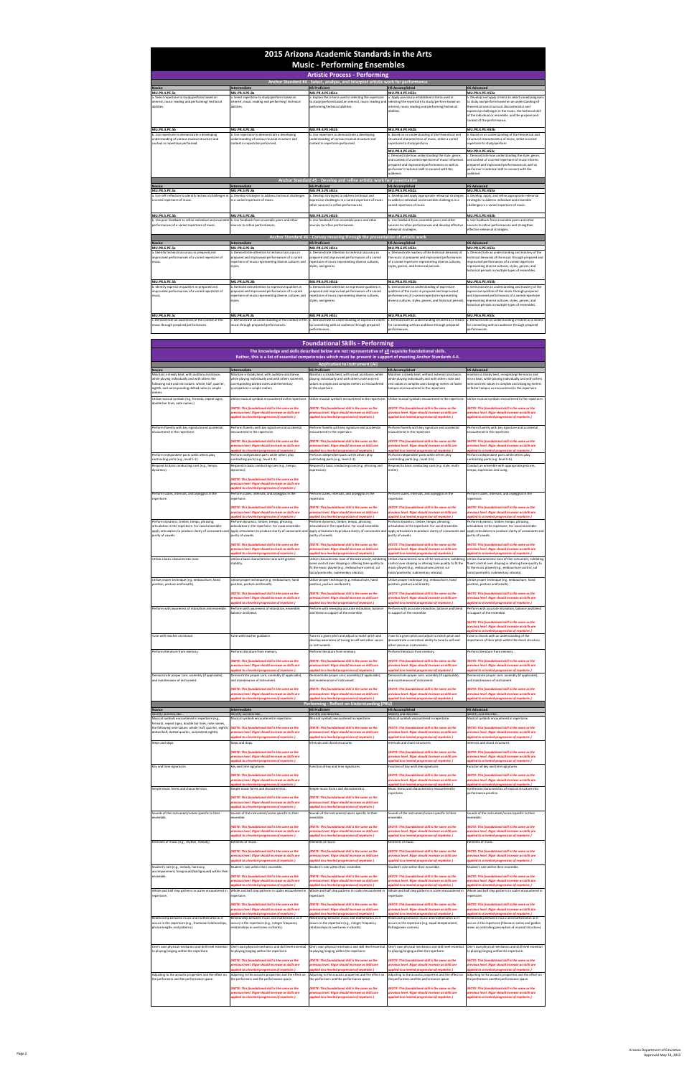| <b>Artistic Process - Performing</b>                                                                                                |                                                                                                                                                                             |                                                                                                                                                                                                         |                                                                                                                                                                                                                                 |                                                                                                                                                                                                                                                                                                               |  |
|-------------------------------------------------------------------------------------------------------------------------------------|-----------------------------------------------------------------------------------------------------------------------------------------------------------------------------|---------------------------------------------------------------------------------------------------------------------------------------------------------------------------------------------------------|---------------------------------------------------------------------------------------------------------------------------------------------------------------------------------------------------------------------------------|---------------------------------------------------------------------------------------------------------------------------------------------------------------------------------------------------------------------------------------------------------------------------------------------------------------|--|
| Anchor Standard #4 - Select, analyze, and interpret artistic work for performance                                                   |                                                                                                                                                                             |                                                                                                                                                                                                         |                                                                                                                                                                                                                                 |                                                                                                                                                                                                                                                                                                               |  |
| <b>Novice</b>                                                                                                                       | Intermediate                                                                                                                                                                | <b>HS Proficient</b>                                                                                                                                                                                    | <b>HS Accomplished</b>                                                                                                                                                                                                          | <b>HS Advanced</b>                                                                                                                                                                                                                                                                                            |  |
| <b>MU.PR.4.PE.5a</b>                                                                                                                | <b>MU.PR.4.PE.8a</b>                                                                                                                                                        | MU.PR.4.PE.HS1a                                                                                                                                                                                         | MU.PR.4.PE.HS2a                                                                                                                                                                                                                 | MU.PR.4.PE.HS3a                                                                                                                                                                                                                                                                                               |  |
| a. Select repertoire to study/perform based on<br>interest, music reading and performing/technical<br>abilities.                    | a. Select repertoire to study/perform based on<br>interest, music reading and performing/technical<br>abilities.                                                            | a. Explain the criteria used in selecting the repertoire<br>to study/perform based on interest, music reading and selecting the repertoire to study/perform based on<br>performing/technical abilities. | a. Apply previously established criteria used in<br>interest, music reading and performing/technical<br>abilities.                                                                                                              | . Develop and apply criteria to select varied programs<br>to study and perform based on an understanding of<br>theoretical and structural characteristics and<br>expressive challenges in the music, the technical skill<br>of the individual or ensemble, and the purpose and<br>context of the performance. |  |
| MU.PR.4.PE.5b                                                                                                                       | <b>MU.PR.4.PE.8b</b>                                                                                                                                                        | MU.PR.4.PE.HS1b                                                                                                                                                                                         | MU.PR.4.PE.HS2b                                                                                                                                                                                                                 | MU.PR.4.PE.HS3b                                                                                                                                                                                                                                                                                               |  |
| b. Use repertoire to demonstrate a developing<br>understanding of various musical structure and<br>context in repertoire performed. | b. Use repertoire to demonstrate a developing<br>understanding of various musical structure and<br>context in repertoire performed.                                         | b. Use repertoire to demonstrate a developing<br>understanding of various musical structure and<br>context in repertoire performed.                                                                     | b. Based on an understanding of the theoretical and<br>structural characteristics of music, select a varied<br>repertoire to study/perform                                                                                      | . Based on an understanding of the theoretical and<br>structural characteristics of music, select a varied<br>repertoire to study/perform                                                                                                                                                                     |  |
|                                                                                                                                     |                                                                                                                                                                             |                                                                                                                                                                                                         | MU.PR.4.PE.HS2c                                                                                                                                                                                                                 | MU.PR.4.PE.HS3c                                                                                                                                                                                                                                                                                               |  |
|                                                                                                                                     |                                                                                                                                                                             |                                                                                                                                                                                                         | c. Demonstrate how understanding the style, genre,<br>and context of a varied repertoire of music influences<br>prepared and improvised performances as well as<br>performer's technical skill to connect with the<br>audience. | . Demonstrate how understanding the style, genre,<br>and context of a varied repertoire of music informs<br>prepared and improvised performances as well as<br>performer's technical skill to connect with the<br>audience.                                                                                   |  |
| Anchor Standard #5 - Develop and refine artistic work for presentation                                                              |                                                                                                                                                                             |                                                                                                                                                                                                         |                                                                                                                                                                                                                                 |                                                                                                                                                                                                                                                                                                               |  |
| <b>Novice</b>                                                                                                                       | <b>Intermediate</b>                                                                                                                                                         | <b>HS Proficient</b>                                                                                                                                                                                    | <b>HS Accomplished</b>                                                                                                                                                                                                          | <b>HS Advanced</b>                                                                                                                                                                                                                                                                                            |  |
| <b>MU.PR.5.PE.5a</b>                                                                                                                | MU.PR.5.PE.8a                                                                                                                                                               | MU.PR.5.PE.HS1a                                                                                                                                                                                         | MU.PR.5.PE.HS2a                                                                                                                                                                                                                 | MU.PR.5.PE.HS3a                                                                                                                                                                                                                                                                                               |  |
| a. Use self-reflection to identify technical challenges in<br>a varied repertoire of music.                                         | a. Develop strategies to address technical challenges<br>in a varied repertoire of music.                                                                                   | a. Develop strategies to address technical and<br>expressive challenges in a varied repertoire of music<br>other sources to refine performances.                                                        | a. Develop and apply appropriate rehearsal strategies<br>to address individual and ensemble challenges in a<br>varied repertoire of music                                                                                       | . Develop, apply, and refine appropriate rehearsal<br>strategies to address individual and ensemble<br>challenges in a varied repertoire of music.                                                                                                                                                            |  |
| <b>MU.PR.5.PE.5b</b>                                                                                                                | MU.PR.5.PE.8b                                                                                                                                                               | MU.PR.5.PE.HS1b                                                                                                                                                                                         | MU.PR.5.PE.HS2b                                                                                                                                                                                                                 | MU.PR.5.PE.HS3b                                                                                                                                                                                                                                                                                               |  |
| b. Use peer feedback to refine individual and ensemble<br>performances of a varied repertoire of music.                             | b. Use feedback from ensemble peers and other<br>sources to refine performances.                                                                                            | b. Use feedback from ensemble peers and other<br>sources to refine performances.                                                                                                                        | b. Use feedback from ensemble peers and other<br>sources to refine performances and develop effective<br>rehearsal strategies.                                                                                                  | b. Use feedback from ensemble peers and other<br>sources to refine performances and strengthen<br>effective rehearsal strategies.                                                                                                                                                                             |  |
|                                                                                                                                     |                                                                                                                                                                             | Anchor Standard #6 - Convey meaning through the presentation of artistic work                                                                                                                           |                                                                                                                                                                                                                                 |                                                                                                                                                                                                                                                                                                               |  |
| <b>Novice</b>                                                                                                                       | Intermediate                                                                                                                                                                | <b>HS Proficient</b>                                                                                                                                                                                    | <b>HS Accomplished</b>                                                                                                                                                                                                          | <b>HS Advanced</b>                                                                                                                                                                                                                                                                                            |  |
| MU.PR.6.PE.5a                                                                                                                       | MU.PR.6.PE.8a                                                                                                                                                               | MU.PR.6.PE.HS1a                                                                                                                                                                                         | MU.PR.6.PE.HS2a                                                                                                                                                                                                                 | MU.PR.6.PE.HS3a                                                                                                                                                                                                                                                                                               |  |
| a. Identify technical accuracy in prepared and<br>improvised performances of a varied repertoire of<br>music.                       | a. Demonstrate attention to technical accuracy in<br>prepared and improvised performances of a varied<br>repertoire of music representing diverse cultures and<br>styles.   | a. Demonstrate attention to technical accuracy in<br>prepared and improvised performances of a varied<br>repertoire of music representing diverse cultures,<br>styles, and genres.                      | a. Demonstrate mastery of the technical demands of<br>the music in prepared and improvised performances<br>of a varied repertoire representing diverse cultures,<br>styles, genres, and historical periods.                     | . Demonstrate an understanding and mastery of the<br>echnical demands of the music through prepared and<br>mprovised performances of a varied repertoire<br>epresenting diverse cultures, styles, genres, and<br>historical periods in multiple types of ensembles.                                           |  |
| MU.PR.6.PE.5b                                                                                                                       | <b>MU.PR.6.PE.8b</b>                                                                                                                                                        | MU.PR.6.PE.HS1b                                                                                                                                                                                         | MU.PR.6.PE.HS2b                                                                                                                                                                                                                 | MU.PR.6.PE.HS3b                                                                                                                                                                                                                                                                                               |  |
| b. Identify expressive qualities in prepared and<br>improvised performances of a varied repertoire of<br>music.                     | b. Demonstrate attention to expressive qualities in<br>prepared and improvised performances of a varied<br>repertoire of music representing diverse cultures and<br>styles. | b. Demonstrate attention to expressive qualities in<br>prepared and improvised performances of a varied<br>repertoire of music representing diverse cultures,<br>styles, and genres.                    | b. Demonstrate an understanding of expressive<br>qualities of the music in prepared and improvised<br>performances of a varied repertoire representing<br>diverse cultures, styles, genres, and historical periods.             | . Demonstrate an understanding and mastery of the<br>expressive qualities of the music through prepared<br>and improvised performances of a varied repertoire<br>epresenting diverse cultures, styles, genres, and<br>historical periods in multiple types of ensembles.                                      |  |
| <b>MU.PR.6.PE.5c</b>                                                                                                                | MU.PR.6.PE.8c                                                                                                                                                               | MU.PR.6.PE.HS1c                                                                                                                                                                                         | MU.PR.6.PE.HS2c                                                                                                                                                                                                                 | MU.PR.6.PE.HS3c                                                                                                                                                                                                                                                                                               |  |
| . Demonstrate an awareness of the context of the<br>music through prepared performances.                                            | . Demonstrate an understanding of the context of the<br>music through prepared performances.                                                                                | c. Demonstrate an understanding of expressive intent<br>by connecting with an audience through prepared<br>performances.                                                                                | . Demonstrate an understanding of intent as a means<br>for connecting with an audience through prepared<br>performances.                                                                                                        | . Demonstrate an understanding of intent as a means<br>for connecting with an audience through prepared<br>performances.                                                                                                                                                                                      |  |

| <b>Foundational Skills - Performing</b><br>The knowledge and skills described below are not representative of all requisite foundational skills.<br>Rather, this is a list of essential competencies which must be present in support of meeting Anchor Standards 4-6. |                                                                                                                                                                                                                                                           |                                                                                                                                                                                                                                                                                                                                           |                                                                                                                                                                                                                                                                                                                                                                                                                                                                                                   |                                                                                                                                                                                                                                                                                                                         |
|------------------------------------------------------------------------------------------------------------------------------------------------------------------------------------------------------------------------------------------------------------------------|-----------------------------------------------------------------------------------------------------------------------------------------------------------------------------------------------------------------------------------------------------------|-------------------------------------------------------------------------------------------------------------------------------------------------------------------------------------------------------------------------------------------------------------------------------------------------------------------------------------------|---------------------------------------------------------------------------------------------------------------------------------------------------------------------------------------------------------------------------------------------------------------------------------------------------------------------------------------------------------------------------------------------------------------------------------------------------------------------------------------------------|-------------------------------------------------------------------------------------------------------------------------------------------------------------------------------------------------------------------------------------------------------------------------------------------------------------------------|
|                                                                                                                                                                                                                                                                        |                                                                                                                                                                                                                                                           | <b>Application to Instrument (AI)</b>                                                                                                                                                                                                                                                                                                     |                                                                                                                                                                                                                                                                                                                                                                                                                                                                                                   |                                                                                                                                                                                                                                                                                                                         |
| <b>Novice</b><br>Maintain a steady beat, with auditory assistance,                                                                                                                                                                                                     | Intermediate<br>Maintain a steady beat, with auditory assistance,                                                                                                                                                                                         | <b>HS Proficient</b><br>Maintain a steady beat, with visual assistance, while                                                                                                                                                                                                                                                             | <b>HS Accomplished</b><br>Maintain a steady beat, without external assistance,                                                                                                                                                                                                                                                                                                                                                                                                                    | <b>HS Advanced</b><br>maintain a steady beat, recognizing the macro and                                                                                                                                                                                                                                                 |
| while playing individually and with others the<br>following note and rest values: whole, half, quarter,<br>eighth, and corresponding dotted notes in simple<br>neters.                                                                                                 | while playing individually and with others sixteenth,<br>corresponding dotted notes and elementary<br>syncopation in simple meters.                                                                                                                       | playing individually and with others note and rest<br>values in simple and complex meters as encountered<br>n the repertoire.                                                                                                                                                                                                             | while playing individually and with others note and<br>rest values in complex and changing meters at faster<br>empos as encountered in the repertoire.                                                                                                                                                                                                                                                                                                                                            | micro beat, while playing individually and with others<br>note and rest values in complex and changing meters<br>at faster tempos as encountered in the repertoire.                                                                                                                                                     |
| Utilize musical symbols (e.g. fermata, repeat signs,<br>double bar lines, note names.)                                                                                                                                                                                 | (NOTE: This foundational skill is the same as the<br>previous level. Rigor should increase as skills are<br>applied to a leveled progression of repetoire.)                                                                                               | Utilize musical symbols encountered in the repertoire. Utilize musical symbols encountered in the repertoire. Utilize musical symbols encountered in the repertoire.<br><b>NOTE: This foundational skill is the same as the</b><br>previous level. Rigor should increase as skills are<br>applied to a leveled progression of repetoire.) | (NOTE: This foundational skill is the same as the<br>previous level. Rigor should increase as skills are<br>applied to a leveled progression of repetoire.)                                                                                                                                                                                                                                                                                                                                       | Utilize musical symbols encountered in the repertoire.<br>(NOTE: This foundational skill is the same as the<br>previous level. Rigor should increase as skills are<br>applied to a leveled progression of repetoire.)                                                                                                   |
| Perform fluently with key signature and accidental<br>encountered in the repertoire.                                                                                                                                                                                   | Perform fluently with key signature and accidental<br>encountered in the repertoire.                                                                                                                                                                      | Perform fluently with key signature and accidental<br>encountered in the repertoire.                                                                                                                                                                                                                                                      | Perform fluently with key signature and accidental<br>encountered in the repertoire.                                                                                                                                                                                                                                                                                                                                                                                                              | Perform fluently with key signature and accidental<br>encountered in the repertoire.                                                                                                                                                                                                                                    |
| Perform independent parts while others play                                                                                                                                                                                                                            | (NOTE: This foundational skill is the same as the<br>previous level. Rigor should increase as skills are<br>pplied to a leveled progression of repetoire.)<br>Perform independent parts while others play                                                 | <b>NOTE: This foundational skill is the same as the</b><br>previous level. Rigor should increase as skills are<br>applied to a leveled progression of repetoire.)<br>Perform independent parts while others play                                                                                                                          | (NOTE: This foundational skill is the same as the<br>previous level. Rigor should increase as skills are<br>pplied to a leveled progression of repetoire.)<br>Perform independent parts while others play                                                                                                                                                                                                                                                                                         | <b>(NOTE: This foundational skill is the same as the</b><br>previous level. Rigor should increase as skills are<br>pplied to a leveled progression of repetoire.)<br>Perform independent parts while others play                                                                                                        |
| contrasting parts (e.g., level 5-1).                                                                                                                                                                                                                                   | contrasting parts (e.g., level 1-2).                                                                                                                                                                                                                      | contrasting parts (e.g., level 2-3).                                                                                                                                                                                                                                                                                                      | contrasting parts (e.g., level 3-5).                                                                                                                                                                                                                                                                                                                                                                                                                                                              | contrasting parts (e.g. level 5-6).                                                                                                                                                                                                                                                                                     |
| Respond to basic conducting cues (e.g., tempo,<br>dynamics).                                                                                                                                                                                                           | Respond to basic conducting cues (e.g., tempo,<br>dynamics).<br>(NOTE: This foundational skill is the same as the<br>previous level. Rigor should increase as skills are<br>applied to a leveled progression of repetoire.)                               | Respond to basic conducting cues (e.g. phrasing and<br>expression).                                                                                                                                                                                                                                                                       | Respond to basic conducting cues (e.g. style, multi-<br>meter).                                                                                                                                                                                                                                                                                                                                                                                                                                   | Conduct an ensemble with appropriate gestures,<br>tempo, expression and cuing.                                                                                                                                                                                                                                          |
| Perform scales, intervals, and arpeggios in the<br>repertoire.                                                                                                                                                                                                         | Perform scales, intervals, and arpeggios in the<br>repertoire.                                                                                                                                                                                            | Perform scales, intervals, and arpeggios in the<br>repertoire.                                                                                                                                                                                                                                                                            | Perform scales, intervals, and arpeggios in the<br>repertoire.                                                                                                                                                                                                                                                                                                                                                                                                                                    | Perform scales, intervals, and arpeggios in the<br>repertoire.                                                                                                                                                                                                                                                          |
| Perform dynamics, timbre, tempo, phrasing,                                                                                                                                                                                                                             | (NOTE: This foundational skill is the same as the<br>previous level. Rigor should increase as skills are<br>pplied to a leveled progression of repetoire.)<br>Perform dynamics, timbre, tempo, phrasing,                                                  | (NOTE: This foundational skill is the same as the<br>previous level. Rigor should increase as skills are<br>pplied to a leveled progression of repetoire.)<br>Perform dynamics, timbre, tempo, phrasing,                                                                                                                                  | (NOTE: This foundational skill is the same as the<br>previous level. Rigor should increase as skills are<br>pplied to a leveled progression of repetoire.)<br>Perform dynamics, timbre, tempo, phrasing,                                                                                                                                                                                                                                                                                          | (NOTE: This foundational skill is the same as the<br>previous level. Rigor should increase as skills are<br>pplied to a leveled progression of repetoire.)<br>Perform dynamics, timbre, tempo, phrasing,                                                                                                                |
| articulation in the repertoire. For vocal ensemble:<br>apply articulators to produce clarity of consonants and<br>purity of vowels.                                                                                                                                    | articulation in the repertoire. For vocal ensemble:<br>apply articulators to produce clarity of consonants and<br>purity of vowels.                                                                                                                       | articulation in the repertoire. For vocal ensemble:<br>apply articulators to produce clarity of consonants an<br>purity of vowels.                                                                                                                                                                                                        | articulation in the repertoire. For vocal ensemble:<br>apply articulators to produce clarity of consonants and<br>purity of vowels.                                                                                                                                                                                                                                                                                                                                                               | articulation in the repertoire. For vocal ensemble:<br>apply articulators to produce clarity of consonants and<br>purity of vowels.                                                                                                                                                                                     |
| Utilize a basic characteristic tone.                                                                                                                                                                                                                                   | (NOTE: This foundational skill is the same as the<br>previous level. Rigor should increase as skills are<br>(pplied to a leveled progression of repetoire.)<br>Utilize a basic characteristic tone with greater<br>stability.                             | <b>NOTE: This foundational skill is the same as the</b><br>previous level. Rigor should increase as skills are<br>(pplied to a leveled progression of repetoire.)<br>ome control over shaping or altering tone quality to<br>fit the music played (e.g., embouchure control, sul<br>tasto/ponticello, rudimentary vibrato).               | (NOTE: This foundational skill is the same as the<br>previous level. Rigor should increase as skills are<br>pplied to a leveled progression of repetoire.)<br>Utilize characteristic tone of the instrument, exhibiting Utilize characteristic tone of the instrument, exhibiting Utilize characteristic tone of the instrument, exhibiting<br>control over shaping or altering tone quality to fit the<br>music played (e.g., embouchure control, sul<br>tasto/ponticello, rudimentary vibrato). | (NOTE: This foundational skill is the same as the<br>previous level. Rigor should increase as skills are<br>pplied to a leveled progression of repetoire.)<br>fluent control over shaping or altering tone quality to<br>fit the music played (e.g., embouchure control, sul<br>tasto/ponticello, rudimentary vibrato). |
| Utilize proper technique (e.g. embouchure, hand<br>position, posture and breath).                                                                                                                                                                                      | Utilize proper technique (e.g. embouchure, hand<br>position, posture and breath).                                                                                                                                                                         | Utilize proper technique (e.g. embouchure, hand<br>position, posture and breath).                                                                                                                                                                                                                                                         | Utilize proper technique (e.g. embouchure, hand<br>position, posture and breath).                                                                                                                                                                                                                                                                                                                                                                                                                 | Utilize proper technique (e.g. embouchure, hand<br>position, posture and breath).                                                                                                                                                                                                                                       |
| Perform with awareness of intonation and ensemble.                                                                                                                                                                                                                     | (NOTE: This foundational skill is the same as the<br>previous level. Rigor should increase as skills are<br><i>pplied to a leveled progression of repetoire.)</i><br>Perform with awareness of intonation, ensemble,                                      | (NOTE: This foundational skill is the same as the<br>previous level. Rigor should increase as skills are<br>(upplied to a leveled progression of repetoire.)<br>Perform with emerging accurate intonation, balance                                                                                                                        | (NOTE: This foundational skill is the same as the<br>previous level. Rigor should increase as skills are<br>(pplied to a leveled progression of repetoire.)<br>Perform with accurate intonation, balance and blend                                                                                                                                                                                                                                                                                | (NOTE: This foundational skill is the same as the<br>previous level. Rigor should increase as skills are<br>pplied to a leveled progression of repetoire.)<br>Perform with accurate intonation, balance and blend                                                                                                       |
|                                                                                                                                                                                                                                                                        | balance and blend                                                                                                                                                                                                                                         | and blend in support of the ensemble.                                                                                                                                                                                                                                                                                                     | in support of the ensemble.                                                                                                                                                                                                                                                                                                                                                                                                                                                                       | in support of the ensemble.<br>(NOTE: This foundational skill is the same as the<br>previous level. Rigor should increase as skills are<br>pplied to a leveled progression of repetoire.)                                                                                                                               |
| Tune with teacher assistance.                                                                                                                                                                                                                                          | Tune with teacher guidance.                                                                                                                                                                                                                               | Tune to a given pitch and adjust to match pitch and<br>develop awareness of tuning to self and other voices<br>or instruments.                                                                                                                                                                                                            | Tune to a given pitch and adjust to match pitch and<br>demonstrate a consistent ability to tune to self and<br>other voices or instruments.                                                                                                                                                                                                                                                                                                                                                       | Tune to chords with an understanding of the<br>importance of their pitch within the chord structure.                                                                                                                                                                                                                    |
| Perform literature from memory.                                                                                                                                                                                                                                        | Perform literature from memory.                                                                                                                                                                                                                           | Perform literature from memory.                                                                                                                                                                                                                                                                                                           | Perform literature from memory.                                                                                                                                                                                                                                                                                                                                                                                                                                                                   | Perform literature from memory.                                                                                                                                                                                                                                                                                         |
| Demonstrate proper care, assembly (if applicable),<br>and maintenance of instrument.                                                                                                                                                                                   | (NOTE: This foundational skill is the same as the<br>previous level. Rigor should increase as skills are<br>applied to a leveled progression of repetoire.)<br>Demonstrate proper care, assembly (if applicable),<br>and maintenance of instrument.       | <b>NOTE: This foundational skill is the same as the</b><br>previous level. Rigor should increase as skills are<br>applied to a leveled progression of repetoire.)<br>Demonstrate proper care, assembly (if applicable),<br>and maintenance of instrument.                                                                                 | (NOTE: This foundational skill is the same as the<br>previous level. Rigor should increase as skills are<br>applied to a leveled progression of repetoire.)<br>Demonstrate proper care, assembly (if applicable),<br>and maintenance of instrument.                                                                                                                                                                                                                                               | (NOTE: This foundational skill is the same as the<br>previous level. Rigor should increase as skills are<br>applied to a leveled progression of repetoire.)<br>Demonstrate proper care, assembly (if applicable),<br>and maintenance of instrument.                                                                     |
|                                                                                                                                                                                                                                                                        | (NOTE: This foundational skill is the same as the<br>previous level. Rigor should increase as skills are<br>applied to a leveled progression of repetoire.)                                                                                               | <b>NOTE: This foundational skill is the same as the</b><br>previous level. Rigor should increase as skills are<br>innlied to a leveled progression of repetaire.)                                                                                                                                                                         | (NOTE: This foundational skill is the same as the<br>previous level. Rigor should increase as skills are<br>applied to a leveled progression of repetoire.)                                                                                                                                                                                                                                                                                                                                       | (NOTE: This foundational skill is the same as the<br>previous level. Rigor should increase as skills are<br>applied to a leveled progression of repetoire.)                                                                                                                                                             |
| <b>Novice</b>                                                                                                                                                                                                                                                          | Intermediate                                                                                                                                                                                                                                              | Performing - Reflect on Understanding (PRU)<br><b>HS Proficient</b>                                                                                                                                                                                                                                                                       | <b>HS Accomplished</b>                                                                                                                                                                                                                                                                                                                                                                                                                                                                            | <b>HS Advanced</b>                                                                                                                                                                                                                                                                                                      |
| Identify and describe.<br>Musical symbols encountered in repertoire (e.g.,                                                                                                                                                                                             | Identify and describe.<br>Musical symbols encountered in repertoire.                                                                                                                                                                                      | Identify and describe<br>Musical symbols encountered in repertoire.                                                                                                                                                                                                                                                                       | Identify and describe<br>Musical symbols encountered in repertoire.                                                                                                                                                                                                                                                                                                                                                                                                                               | Identify and describe.<br>Musical symbols encountered in repertoire.                                                                                                                                                                                                                                                    |
| fermata, repeat signs, double bar lines, note names.<br>the following note values: whole, half, quarter, eighth,<br>dotted half, dotted quarter, and dotted eighth).<br>Steps and skips.                                                                               | (NOTE: This foundational skill is the same as the<br>level. Riaor should increase as skills are<br>(pplied to a leveled progression of repetoire.)<br>Steps and skips.                                                                                    | (NOTE: This foundational skill is the same as the<br>revious level. Riaor should increase as skills are<br>pplied to a leveled progression of repetoire.)<br>intervals and chord structures.                                                                                                                                              | (NOTE: This foundational skill is the same as the<br>i level. Riaor should increase as skills are<br>pplied to a leveled progression of repetoire.)<br>Intervals and chord structures.                                                                                                                                                                                                                                                                                                            | (NOTE: This foundational skill is the same as the<br>vel. Riaor should increase as skills are<br>oplied to a leveled progression of repetoire.)<br>Intervals and chord structures.                                                                                                                                      |
|                                                                                                                                                                                                                                                                        | (NOTE: This foundational skill is the same as the<br>previous level. Rigor should increase as skills are<br>pplied to a leveled progression of repetoire.)                                                                                                |                                                                                                                                                                                                                                                                                                                                           | (NOTE: This foundational skill is the same as the<br>previous level. Rigor should increase as skills are<br>pplied to a leveled progression of repetoire.)                                                                                                                                                                                                                                                                                                                                        | (NOTE: This foundational skill is the same as the<br>previous level. Rigor should increase as skills are<br>pplied to a leveled progression of repetoire.)                                                                                                                                                              |
| Key and time signatures.                                                                                                                                                                                                                                               | Key and time signatures.<br>(NOTE: This foundational skill is the same as the<br>previous level. Rigor should increase as skills are<br>pplied to a leveled progression of repetoire.)                                                                    | Function of key and time signatures.                                                                                                                                                                                                                                                                                                      | Function of key and time signatures.<br>(NOTE: This foundational skill is the same as the<br>previous level. Rigor should increase as skills are<br>pplied to a leveled progression of repetoire.                                                                                                                                                                                                                                                                                                 | Function of key and time signatures.<br>(NOTE: This foundational skill is the same as the<br>previous level. Rigor should increase as skills are<br>oplied to a leveled progression of repetoire                                                                                                                        |
| Simple music forms and characteristics.                                                                                                                                                                                                                                | Simple music forms and characteristics.<br>(NOTE: This foundational skill is the same as the<br>previous level. Rigor should increase as skills are                                                                                                       | Simple music forms and characteristics.<br><b>NOTE: This foundational skill is the same as the</b><br>previous level. Rigor should increase as skills are                                                                                                                                                                                 | Music forms and characteristics encountered in<br>repertoire.                                                                                                                                                                                                                                                                                                                                                                                                                                     | Synthesize characteristics of musical structure into<br>performance practice.                                                                                                                                                                                                                                           |
| Sounds of the instrument/voices specific to their<br>ensemble                                                                                                                                                                                                          | applied to a leveled progression of repetoire.)<br>Sounds of the instrument/voices specific to their<br>ensemble.                                                                                                                                         | applied to a leveled progression of repetoire.)<br>Sounds of the instrument/voices specific to their<br>ensemble.                                                                                                                                                                                                                         | Sounds of the instrument/voices specific to their<br>ensemble                                                                                                                                                                                                                                                                                                                                                                                                                                     | Sounds of the instrument/voices specific to their<br>ensemble.                                                                                                                                                                                                                                                          |
| Elements of music (e.g., rhythm, melody).                                                                                                                                                                                                                              | (NOTE: This foundational skill is the same as the<br>previous level. Rigor should increase as skills are<br>applied to a leveled progression of repetoire.)<br>Elements of music.                                                                         | <b>NOTE: This foundational skill is the same as the</b><br>previous level. Rigor should increase as skills are<br>pplied to a leveled progression of repetoire.)<br>Elements of music.                                                                                                                                                    | (NOTE: This foundational skill is the same as the<br>previous level. Rigor should increase as skills are<br>applied to a leveled progression of repetoire.)<br>Elements of music.                                                                                                                                                                                                                                                                                                                 | (NOTE: This foundational skill is the same as the<br>previous level. Rigor should increase as skills are<br>applied to a leveled progression of repetoire.)<br>Elements of music.                                                                                                                                       |
|                                                                                                                                                                                                                                                                        | (NOTE: This foundational skill is the same as the<br>previous level. Rigor should increase as skills are<br>applied to a leveled progression of repetoire.)                                                                                               | (NOTE: This foundational skill is the same as the<br>previous level. Rigor should increase as skills are<br>applied to a leveled progression of repetoire.)                                                                                                                                                                               | (NOTE: This foundational skill is the same as the<br>revious level. Rigor should increase as skills are<br>applied to a leveled progression of repetoire.)                                                                                                                                                                                                                                                                                                                                        | (NOTE: This foundational skill is the same as the<br>previous level. Rigor should increase as skills <mark>a</mark> re<br>pplied to a leveled progression of repetoire.)                                                                                                                                                |
| Student's role (e.g., melody, harmony,<br>accompaniment, foreground/background) within thei<br>ensemble.                                                                                                                                                               | Student's role within their ensemble.<br>(NOTE: This foundational skill is the same as the<br>previous level. Rigor should increase as skills are                                                                                                         | Student's role within their ensemble.<br>(NOTE: This foundational skill is the same as the<br>previous level. Rigor should increase as skills are                                                                                                                                                                                         | Student's role within their ensemble.<br>(NOTE: This foundational skill is the same as the<br>previous level. Rigor should increase as skills are                                                                                                                                                                                                                                                                                                                                                 | Student's role within their ensemble.<br>(NOTE: This foundational skill is the same as the<br>previous level. Rigor should increase as skills are                                                                                                                                                                       |
| Whole and half step patterns in scales encountered in<br>repertoire.                                                                                                                                                                                                   | applied to a leveled progression of repetoire.)<br>Whole and half step patterns in scales encountered in<br>repertoire.                                                                                                                                   | applied to a leveled progression of repetoire.)<br>Whole and half step patterns in scales encountered in<br>epertoire.                                                                                                                                                                                                                    | applied to a leveled progression of repetoire.)<br>Whole and half step patterns in scales encountered in<br>repertoire.                                                                                                                                                                                                                                                                                                                                                                           | pplied to a leveled progression of repetoire.)<br>Whole and half step patterns in scales encountered in<br>repertoire.                                                                                                                                                                                                  |
|                                                                                                                                                                                                                                                                        | (NOTE: This foundational skill is the same as the                                                                                                                                                                                                         | (NOTE: This foundational skill is the same as the                                                                                                                                                                                                                                                                                         | (NOTE: This foundational skill is the same as the                                                                                                                                                                                                                                                                                                                                                                                                                                                 | (NOTE: This foundational skill is the same as the                                                                                                                                                                                                                                                                       |
| Relationship between music and mathematics as it<br>occurs in the repertoire (e.g., fractional relationships,<br>phrase lengths and patterns).                                                                                                                         | previous level. Rigor should increase as skills are<br>(pplied to a leveled progression of repetoire.)<br>Relationship between music and mathematics as it<br>occurs in the repertoire (e.g., integer frequency<br>relationships in overtones in chords). | previous level. Rigor should increase as skills are<br>pplied to a leveled progression of repetoire.)<br>Relationship between music and mathematics as it<br>occurs in the repertoire (e.g., integer frequency<br>relationships in overtones in chords).                                                                                  | previous level. Rigor should increase as skills are<br>pplied to a leveled progression of repetoire.)<br>Relationship between music and mathematics as it<br>occurs in the repertoire (e.g. equal temperament,<br>Pathagorean comma).                                                                                                                                                                                                                                                             | previous level. Rigor should increase as skills are<br>pplied to a leveled progression of repetoire.)<br>Relationship between music and mathematics as it<br>occurs in the repertoire (Fibonacci series and golden<br>mean as controlling perception of musical structure).                                             |
| One's own physical mechanics and skill level essential<br>to playing/singing within the repertoire.                                                                                                                                                                    | One's own physical mechanics and skill level essential<br>to playing/singing within the repertoire.                                                                                                                                                       | One's own physical mechanics and skill level essential<br>to playing/singing within the repertoire.                                                                                                                                                                                                                                       | One's own physical mechanics and skill level essential<br>to playing/singing within the repertoire.                                                                                                                                                                                                                                                                                                                                                                                               | One's own physical mechanics and skill level essential<br>to playing/singing within the repertoire.                                                                                                                                                                                                                     |
|                                                                                                                                                                                                                                                                        | (NOTE: This foundational skill is the same as the<br>previous level. Rigor should increase as skills are<br>pplied to a leveled progression of repetoire.)                                                                                                | (NOTE: This foundational skill is the same as the<br>previous level. Rigor should increase as skills are<br>oplied to a leveled progression of repetoire.)                                                                                                                                                                                | (NOTE: This foundational skill is the same as the<br>previous level. Rigor should increase as skills are<br>pplied to a leveled progression of repetoire.)                                                                                                                                                                                                                                                                                                                                        | (NOTE: This foundational skill is the same as the<br>previous level. Rigor should increase as skills are<br>pplied to a leveled progression of repetoire.)                                                                                                                                                              |
| Adjusting to the acoustic properties and the effect on<br>the performers and the performance space.                                                                                                                                                                    | Adjusting to the acoustic properties and the effect on<br>the performers and the performance space.                                                                                                                                                       | Adjusting to the acoustic properties and the effect on<br>the performers and the performance space.                                                                                                                                                                                                                                       | Adjusting to the acoustic properties and the effect on<br>the performers and the performance space.                                                                                                                                                                                                                                                                                                                                                                                               | Adjusting to the acoustic properties and the effect on<br>the performers and the performance space.                                                                                                                                                                                                                     |
|                                                                                                                                                                                                                                                                        | (NOTE: This foundational skill is the same as the<br>previous level. Rigor should increase as skills are<br>applied to a leveled progression of repetoire.)                                                                                               | <b>NOTE: This foundational skill is the same as the</b><br>previous level. Rigor should increase as skills are<br>pplied to a leveled progression of repetoire.)                                                                                                                                                                          | (NOTE: This foundational skill is the same as the<br>revious level. Rigor should increase as skills are<br>applied to a leveled progression of repetoire.)                                                                                                                                                                                                                                                                                                                                        | (NOTE: This foundational skill is the same as the<br>previous level. Rigor should increase as skills are<br>pplied to a leveled progression of repetoire.)                                                                                                                                                              |

#### **2015 Arizona Academic Standards in the Arts Music - Performing Ensembles**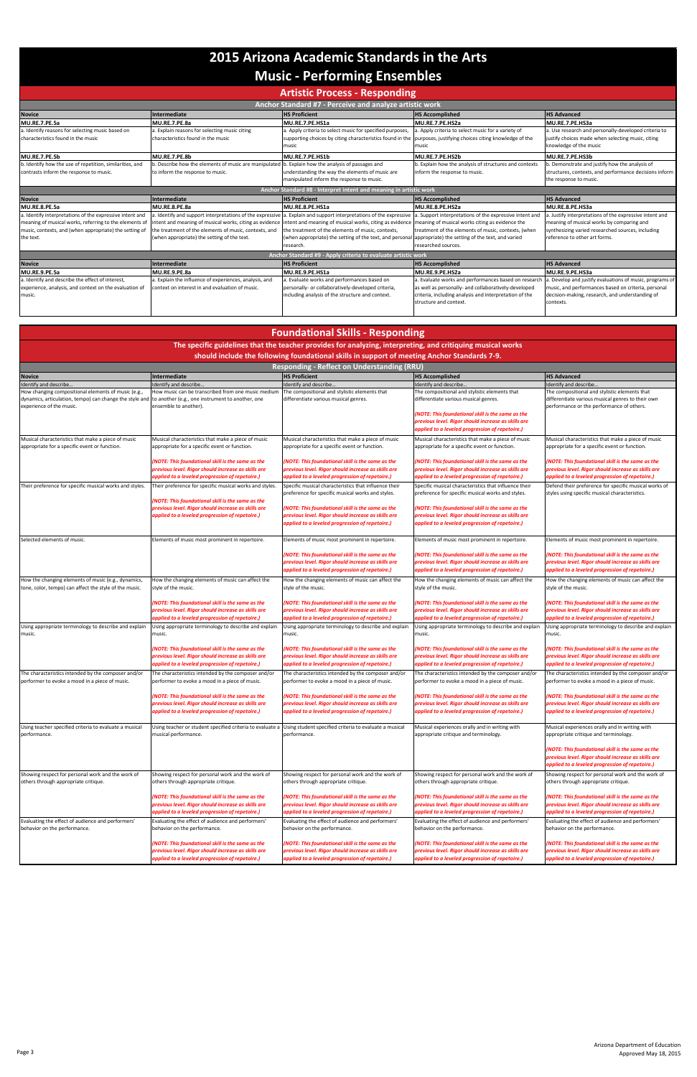|                                                          | <b>Artistic Process - Responding</b>                                                                                                                            |                                                                                                                    |                                                         |                                                         |  |  |
|----------------------------------------------------------|-----------------------------------------------------------------------------------------------------------------------------------------------------------------|--------------------------------------------------------------------------------------------------------------------|---------------------------------------------------------|---------------------------------------------------------|--|--|
| Anchor Standard #7 - Perceive and analyze artistic work  |                                                                                                                                                                 |                                                                                                                    |                                                         |                                                         |  |  |
| <b>Novice</b>                                            | Intermediate                                                                                                                                                    | <b>HS Proficient</b>                                                                                               | <b>HS Accomplished</b>                                  | <b>HS Advanced</b>                                      |  |  |
| MU.RE.7.PE.5a                                            | MU.RE.7.PE.8a                                                                                                                                                   | MU.RE.7.PE.HS1a                                                                                                    | MU.RE.7.PE.HS2a                                         | MU.RE.7.PE.HS3a                                         |  |  |
| a. Identify reasons for selecting music based on         | a. Explain reasons for selecting music citing                                                                                                                   | a. Apply criteria to select music for specified purposes,                                                          | a. Apply criteria to select music for a variety of      | a. Use research and personally-developed criteria to    |  |  |
| characteristics found in the music                       | characteristics found in the music                                                                                                                              | supporting choices by citing characteristics found in the purposes, justifying choices citing knowledge of the     |                                                         | justify choices made when selecting music, citing       |  |  |
|                                                          |                                                                                                                                                                 | music                                                                                                              | music                                                   | knowledge of the music                                  |  |  |
| MU.RE.7.PE.5b                                            | MU.RE.7.PE.8b                                                                                                                                                   | MU.RE.7.PE.HS1b                                                                                                    | MU.RE.7.PE.HS2b                                         | MU.RE.7.PE.HS3b                                         |  |  |
| b. Identify how the use of repetition, similarities, and | b. Describe how the elements of music are manipulated b. Explain how the analysis of passages and                                                               |                                                                                                                    | b. Explain how the analysis of structures and contexts  | . Demonstrate and justify how the analysis of           |  |  |
| contrasts inform the response to music.                  | to inform the response to music.                                                                                                                                | understanding the way the elements of music are                                                                    | inform the response to music.                           | structures, contexts, and performance decisions inform  |  |  |
|                                                          |                                                                                                                                                                 | manipulated inform the response to music.                                                                          |                                                         | the response to music.                                  |  |  |
|                                                          |                                                                                                                                                                 | Anchor Standard #8 - Interpret intent and meaning in artistic work                                                 |                                                         |                                                         |  |  |
| <b>Novice</b>                                            | Intermediate                                                                                                                                                    | <b>HS Proficient</b>                                                                                               | <b>HS Accomplished</b>                                  | <b>HS Advanced</b>                                      |  |  |
| MU.RE.8.PE.5a                                            | MU.RE.8.PE.8a                                                                                                                                                   | MU.RE.8.PE.HS1a                                                                                                    | MU.RE.8.PE.HS2a                                         | MU.RE.8.PE.HS3a                                         |  |  |
| a. Identify interpretations of the expressive intent and |                                                                                                                                                                 | a. Identify and support interpretations of the expressive a. Explain and support interpretations of the expressive | a. Support interpretations of the expressive intent and | . Justify interpretations of the expressive intent and  |  |  |
| meaning of musical works, referring to the elements of   | intent and meaning of musical works, citing as evidence intent and meaning of musical works, citing as evidence meaning of musical works citing as evidence the |                                                                                                                    |                                                         | meaning of musical works by comparing and               |  |  |
| music, contexts, and (when appropriate) the setting of   | the treatment of the elements of music, contexts, and                                                                                                           | the treatment of the elements of music, contexts,                                                                  | treatment of the elements of music, contexts, (when     | synthesizing varied researched sources, including       |  |  |
| the text.                                                | (when appropriate) the setting of the text.                                                                                                                     | (when appropriate) the setting of the text, and personal appropriate) the setting of the text, and varied          |                                                         | reference to other art forms.                           |  |  |
|                                                          |                                                                                                                                                                 | research.                                                                                                          | researched sources.                                     |                                                         |  |  |
|                                                          |                                                                                                                                                                 | Anchor Standard #9 - Apply criteria to evaluate artistic work                                                      |                                                         |                                                         |  |  |
| <b>Novice</b>                                            | Intermediate                                                                                                                                                    | <b>HS Proficient</b>                                                                                               | <b>HS Accomplished</b>                                  | <b>HS Advanced</b>                                      |  |  |
| MU.RE.9.PE.5a                                            | MU.RE.9.PE.8a                                                                                                                                                   | MU.RE.9.PE.HS1a                                                                                                    | MU.RE.9.PE.HS2a                                         | MU.RE.9.PE.HS3a                                         |  |  |
| a. Identify and describe the effect of interest,         | a. Explain the influence of experiences, analysis, and                                                                                                          | a. Evaluate works and performances based on                                                                        | a. Evaluate works and performances based on researcl    | . Develop and justify evaluations of music, programs of |  |  |
| experience, analysis, and context on the evaluation of   | context on interest in and evaluation of music.                                                                                                                 | personally- or collaboratively-developed criteria,                                                                 | as well as personally- and collaboratively-developed    | music, and performances based on criteria, personal     |  |  |
| music.                                                   |                                                                                                                                                                 | including analysis of the structure and context.                                                                   | criteria, including analysis and interpretation of the  | decision-making, research, and understanding of         |  |  |
|                                                          |                                                                                                                                                                 |                                                                                                                    | structure and context.                                  | contexts.                                               |  |  |
|                                                          |                                                                                                                                                                 |                                                                                                                    |                                                         |                                                         |  |  |

| <b>Foundational Skills - Responding</b><br>The specific guidelines that the teacher provides for analyzing, interpreting, and critiquing musical works |                                                                                                          |                                                                                                          |                                                                                                          |                                                                                                          |  |                                                                                                                                                    |
|--------------------------------------------------------------------------------------------------------------------------------------------------------|----------------------------------------------------------------------------------------------------------|----------------------------------------------------------------------------------------------------------|----------------------------------------------------------------------------------------------------------|----------------------------------------------------------------------------------------------------------|--|----------------------------------------------------------------------------------------------------------------------------------------------------|
|                                                                                                                                                        |                                                                                                          |                                                                                                          |                                                                                                          |                                                                                                          |  | should include the following foundational skills in support of meeting Anchor Standards 7-9.<br><b>Responding - Reflect on Understanding (RRU)</b> |
| <b>Novice</b>                                                                                                                                          | Intermediate                                                                                             | <b>HS Proficient</b>                                                                                     | <b>HS Accomplished</b>                                                                                   | <b>HS Advanced</b>                                                                                       |  |                                                                                                                                                    |
| Identify and describe.                                                                                                                                 | Identify and describe.                                                                                   | Identify and describe.                                                                                   | Identify and describe.                                                                                   | Identify and describe.                                                                                   |  |                                                                                                                                                    |
| How changing compositional elements of music (e.g.,                                                                                                    | How music can be transcribed from one music medium                                                       | The compositional and stylistic elements that                                                            | The compositional and stylistic elements that                                                            | The compositional and stylistic elements that                                                            |  |                                                                                                                                                    |
| dynamics, articulation, tempo) can change the style and                                                                                                | to another (e.g., one instrument to another, one                                                         | differentiate various musical genres.                                                                    | differentiate various musical genres.                                                                    | differentiate various musical genres to their own                                                        |  |                                                                                                                                                    |
| experience of the music.                                                                                                                               | ensemble to another).                                                                                    |                                                                                                          |                                                                                                          | performance or the performance of others.                                                                |  |                                                                                                                                                    |
|                                                                                                                                                        |                                                                                                          |                                                                                                          | (NOTE: This foundational skill is the same as the                                                        |                                                                                                          |  |                                                                                                                                                    |
|                                                                                                                                                        |                                                                                                          |                                                                                                          | previous level. Rigor should increase as skills are<br>applied to a leveled progression of repetoire.)   |                                                                                                          |  |                                                                                                                                                    |
|                                                                                                                                                        |                                                                                                          |                                                                                                          |                                                                                                          |                                                                                                          |  |                                                                                                                                                    |
| Musical characteristics that make a piece of music                                                                                                     | Musical characteristics that make a piece of music                                                       | Musical characteristics that make a piece of music                                                       | Musical characteristics that make a piece of music                                                       | Musical characteristics that make a piece of music                                                       |  |                                                                                                                                                    |
| appropriate for a specific event or function.                                                                                                          | appropriate for a specific event or function.                                                            | appropriate for a specific event or function.                                                            | appropriate for a specific event or function.                                                            | appropriate for a specific event or function.                                                            |  |                                                                                                                                                    |
|                                                                                                                                                        | (NOTE: This foundational skill is the same as the                                                        | (NOTE: This foundational skill is the same as the                                                        | (NOTE: This foundational skill is the same as the                                                        | (NOTE: This foundational skill is the same as the                                                        |  |                                                                                                                                                    |
|                                                                                                                                                        | previous level. Rigor should increase as skills are                                                      | previous level. Rigor should increase as skills are                                                      | previous level. Rigor should increase as skills are                                                      | previous level. Rigor should increase as skills are                                                      |  |                                                                                                                                                    |
|                                                                                                                                                        | applied to a leveled progression of repetoire.)                                                          | applied to a leveled progression of repetoire.)                                                          | applied to a leveled progression of repetoire.)                                                          | applied to a leveled progression of repetoire.)                                                          |  |                                                                                                                                                    |
| Their preference for specific musical works and styles.                                                                                                | Their preference for specific musical works and styles.                                                  | Specific musical characteristics that influence their                                                    | Specific musical characteristics that influence their                                                    | Defend their preference for specific musical works of                                                    |  |                                                                                                                                                    |
|                                                                                                                                                        |                                                                                                          | preference for specific musical works and styles.                                                        | preference for specific musical works and styles.                                                        | styles using specific musical characteristics.                                                           |  |                                                                                                                                                    |
|                                                                                                                                                        | (NOTE: This foundational skill is the same as the                                                        |                                                                                                          |                                                                                                          |                                                                                                          |  |                                                                                                                                                    |
|                                                                                                                                                        | previous level. Rigor should increase as skills are                                                      | (NOTE: This foundational skill is the same as the                                                        | (NOTE: This foundational skill is the same as the                                                        |                                                                                                          |  |                                                                                                                                                    |
|                                                                                                                                                        | applied to a leveled progression of repetoire.)                                                          | previous level. Rigor should increase as skills are                                                      | previous level. Rigor should increase as skills are                                                      |                                                                                                          |  |                                                                                                                                                    |
|                                                                                                                                                        |                                                                                                          | applied to a leveled progression of repetoire.)                                                          | applied to a leveled progression of repetoire.)                                                          |                                                                                                          |  |                                                                                                                                                    |
|                                                                                                                                                        |                                                                                                          |                                                                                                          |                                                                                                          |                                                                                                          |  |                                                                                                                                                    |
| Selected elements of music.                                                                                                                            | Elements of music most prominent in repertoire.                                                          | Elements of music most prominent in repertoire.                                                          | Elements of music most prominent in repertoire.                                                          | Elements of music most prominent in repertoire.                                                          |  |                                                                                                                                                    |
|                                                                                                                                                        |                                                                                                          | (NOTE: This foundational skill is the same as the                                                        | (NOTE: This foundational skill is the same as the                                                        | (NOTE: This foundational skill is the same as the                                                        |  |                                                                                                                                                    |
|                                                                                                                                                        |                                                                                                          | previous level. Rigor should increase as skills are                                                      | previous level. Rigor should increase as skills are                                                      | previous level. Rigor should increase as skills are                                                      |  |                                                                                                                                                    |
|                                                                                                                                                        |                                                                                                          | applied to a leveled progression of repetoire.)                                                          | applied to a leveled progression of repetoire.)                                                          | applied to a leveled progression of repetoire.)                                                          |  |                                                                                                                                                    |
| How the changing elements of music (e.g., dynamics,                                                                                                    | How the changing elements of music can affect the                                                        | How the changing elements of music can affect the                                                        | How the changing elements of music can affect the                                                        | How the changing elements of music can affect the                                                        |  |                                                                                                                                                    |
| tone, color, tempo) can affect the style of the music.                                                                                                 | style of the music.                                                                                      | style of the music.                                                                                      | style of the music.                                                                                      | style of the music.                                                                                      |  |                                                                                                                                                    |
|                                                                                                                                                        |                                                                                                          |                                                                                                          |                                                                                                          |                                                                                                          |  |                                                                                                                                                    |
|                                                                                                                                                        | (NOTE: This foundational skill is the same as the                                                        | (NOTE: This foundational skill is the same as the                                                        | (NOTE: This foundational skill is the same as the                                                        | (NOTE: This foundational skill is the same as the                                                        |  |                                                                                                                                                    |
|                                                                                                                                                        | previous level. Rigor should increase as skills are<br>applied to a leveled progression of repetoire.)   | previous level. Rigor should increase as skills are<br>applied to a leveled progression of repetoire.)   | previous level. Rigor should increase as skills are<br>applied to a leveled progression of repetoire.)   | previous level. Rigor should increase as skills are<br>applied to a leveled progression of repetoire.)   |  |                                                                                                                                                    |
| Using appropriate terminology to describe and explain                                                                                                  | Using appropriate terminology to describe and explain                                                    | Using appropriate terminology to describe and explain                                                    | Using appropriate terminology to describe and explain                                                    | Using appropriate terminology to describe and explain                                                    |  |                                                                                                                                                    |
| music.                                                                                                                                                 | music.                                                                                                   | music.                                                                                                   | music.                                                                                                   | music.                                                                                                   |  |                                                                                                                                                    |
|                                                                                                                                                        |                                                                                                          |                                                                                                          |                                                                                                          |                                                                                                          |  |                                                                                                                                                    |
|                                                                                                                                                        | (NOTE: This foundational skill is the same as the                                                        | (NOTE: This foundational skill is the same as the                                                        | (NOTE: This foundational skill is the same as the                                                        | (NOTE: This foundational skill is the same as the                                                        |  |                                                                                                                                                    |
|                                                                                                                                                        | previous level. Rigor should increase as skills are                                                      | previous level. Rigor should increase as skills are                                                      | previous level. Rigor should increase as skills are                                                      | previous level. Rigor should increase as skills are                                                      |  |                                                                                                                                                    |
|                                                                                                                                                        | applied to a leveled progression of repetoire.)                                                          | applied to a leveled progression of repetoire.)                                                          | applied to a leveled progression of repetoire.)                                                          | applied to a leveled progression of repetoire.)                                                          |  |                                                                                                                                                    |
| The characteristics intended by the composer and/or                                                                                                    | The characteristics intended by the composer and/or                                                      | The characteristics intended by the composer and/or                                                      | The characteristics intended by the composer and/or                                                      | The characteristics intended by the composer and/or                                                      |  |                                                                                                                                                    |
| performer to evoke a mood in a piece of music.                                                                                                         | performer to evoke a mood in a piece of music.                                                           | performer to evoke a mood in a piece of music.                                                           | performer to evoke a mood in a piece of music.                                                           | performer to evoke a mood in a piece of music.                                                           |  |                                                                                                                                                    |
|                                                                                                                                                        |                                                                                                          |                                                                                                          |                                                                                                          |                                                                                                          |  |                                                                                                                                                    |
|                                                                                                                                                        | (NOTE: This foundational skill is the same as the<br>previous level. Rigor should increase as skills are | (NOTE: This foundational skill is the same as the<br>previous level. Rigor should increase as skills are | (NOTE: This foundational skill is the same as the<br>previous level. Rigor should increase as skills are | (NOTE: This foundational skill is the same as the<br>previous level. Rigor should increase as skills are |  |                                                                                                                                                    |
|                                                                                                                                                        | applied to a leveled progression of repetoire.)                                                          | applied to a leveled progression of repetoire.)                                                          | applied to a leveled progression of repetoire.)                                                          | applied to a leveled progression of repetoire.)                                                          |  |                                                                                                                                                    |
|                                                                                                                                                        |                                                                                                          |                                                                                                          |                                                                                                          |                                                                                                          |  |                                                                                                                                                    |
| Using teacher specified criteria to evaluate a musical                                                                                                 | Using teacher or student specified criteria to evaluate a                                                | Using student specified criteria to evaluate a musical                                                   | Musical experiences orally and in writing with                                                           | Musical experiences orally and in writing with                                                           |  |                                                                                                                                                    |
| performance.                                                                                                                                           | musical performance.                                                                                     | performance.                                                                                             | appropriate critique and terminology.                                                                    | appropriate critique and terminology.                                                                    |  |                                                                                                                                                    |
|                                                                                                                                                        |                                                                                                          |                                                                                                          |                                                                                                          |                                                                                                          |  |                                                                                                                                                    |
|                                                                                                                                                        |                                                                                                          |                                                                                                          |                                                                                                          | (NOTE: This foundational skill is the same as the                                                        |  |                                                                                                                                                    |
|                                                                                                                                                        |                                                                                                          |                                                                                                          |                                                                                                          | previous level. Rigor should increase as skills are<br>applied to a leveled progression of repetoire.)   |  |                                                                                                                                                    |
|                                                                                                                                                        |                                                                                                          |                                                                                                          |                                                                                                          |                                                                                                          |  |                                                                                                                                                    |
| Showing respect for personal work and the work of<br>others through appropriate critique.                                                              | Showing respect for personal work and the work of<br>others through appropriate critique.                | Showing respect for personal work and the work of<br>others through appropriate critique.                | Showing respect for personal work and the work of<br>others through appropriate critique.                | Showing respect for personal work and the work of<br>others through appropriate critique.                |  |                                                                                                                                                    |
|                                                                                                                                                        |                                                                                                          |                                                                                                          |                                                                                                          |                                                                                                          |  |                                                                                                                                                    |

|                                                   | (NOTE: This foundational skill is the same as the<br>previous level. Rigor should increase as skills are<br>applied to a leveled progression of repetoire.) | (NOTE: This foundational skill is the same as the<br>previous level. Rigor should increase as skills are<br>applied to a leveled progression of repetoire.) | (NOTE: This foundational skill is the same as the<br>previous level. Rigor should increase as skills are<br>applied to a leveled progression of repetoire.) | (NOTE: This foundational skill is the same as the<br>previous level. Rigor should increase as skills are<br>applied to a leveled progression of repetoire.) |
|---------------------------------------------------|-------------------------------------------------------------------------------------------------------------------------------------------------------------|-------------------------------------------------------------------------------------------------------------------------------------------------------------|-------------------------------------------------------------------------------------------------------------------------------------------------------------|-------------------------------------------------------------------------------------------------------------------------------------------------------------|
| Evaluating the effect of audience and performers' | Evaluating the effect of audience and performers'                                                                                                           | Evaluating the effect of audience and performers'                                                                                                           | Evaluating the effect of audience and performers'                                                                                                           | Evaluating the effect of audience and performers'                                                                                                           |
| behavior on the performance.                      | behavior on the performance.                                                                                                                                | behavior on the performance.                                                                                                                                | behavior on the performance.                                                                                                                                | behavior on the performance.                                                                                                                                |
|                                                   | (NOTE: This foundational skill is the same as the                                                                                                           | (NOTE: This foundational skill is the same as the                                                                                                           | (NOTE: This foundational skill is the same as the                                                                                                           | (NOTE: This foundational skill is the same as the                                                                                                           |
|                                                   | previous level. Rigor should increase as skills are                                                                                                         | previous level. Rigor should increase as skills are                                                                                                         | previous level. Rigor should increase as skills are                                                                                                         | previous level. Rigor should increase as skills are                                                                                                         |
|                                                   | applied to a leveled progression of repetoire.)                                                                                                             | applied to a leveled progression of repetoire.)                                                                                                             | applied to a leveled progression of repetoire.)                                                                                                             | applied to a leveled progression of repetoire.)                                                                                                             |

# **2015 Arizona Academic Standards in the Arts Music - Performing Ensembles**

### **Artistic Process - Responding**